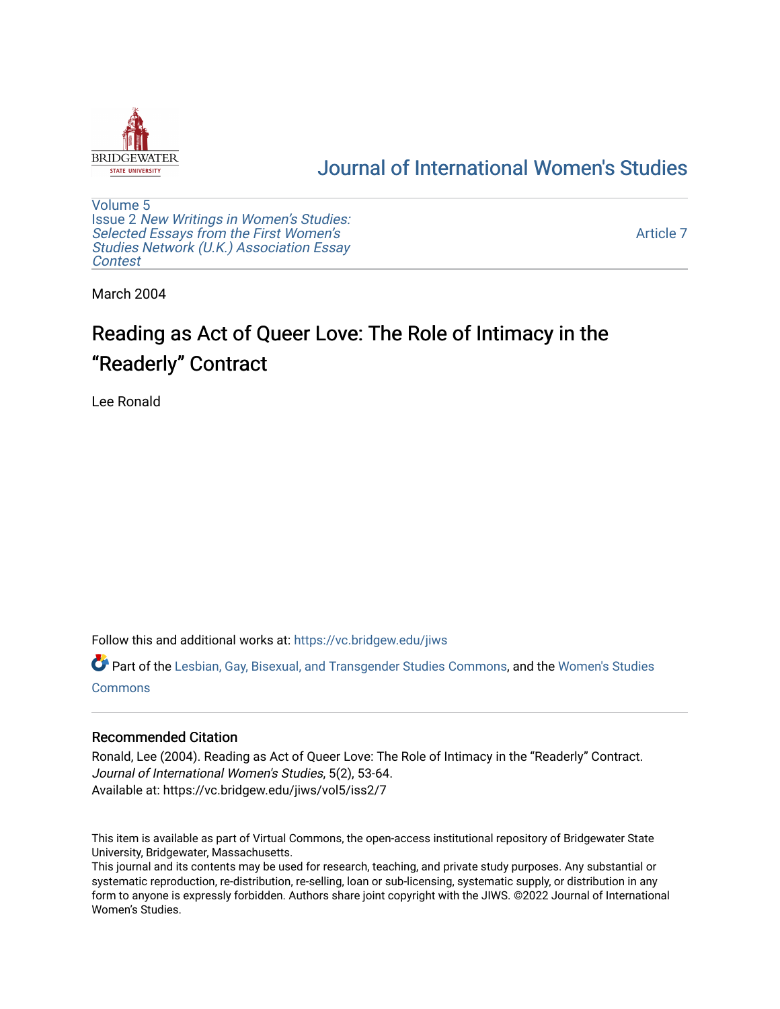

## [Journal of International Women's Studies](https://vc.bridgew.edu/jiws)

[Volume 5](https://vc.bridgew.edu/jiws/vol5) Issue 2 [New Writings in Women's Studies:](https://vc.bridgew.edu/jiws/vol5/iss2) [Selected Essays from the First Women's](https://vc.bridgew.edu/jiws/vol5/iss2) [Studies Network \(U.K.\) Association Essay](https://vc.bridgew.edu/jiws/vol5/iss2) [Contest](https://vc.bridgew.edu/jiws/vol5/iss2)

[Article 7](https://vc.bridgew.edu/jiws/vol5/iss2/7) 

March 2004

# Reading as Act of Queer Love: The Role of Intimacy in the "Readerly" Contract

Lee Ronald

Follow this and additional works at: [https://vc.bridgew.edu/jiws](https://vc.bridgew.edu/jiws?utm_source=vc.bridgew.edu%2Fjiws%2Fvol5%2Fiss2%2F7&utm_medium=PDF&utm_campaign=PDFCoverPages)

Part of the [Lesbian, Gay, Bisexual, and Transgender Studies Commons](http://network.bepress.com/hgg/discipline/560?utm_source=vc.bridgew.edu%2Fjiws%2Fvol5%2Fiss2%2F7&utm_medium=PDF&utm_campaign=PDFCoverPages), and the [Women's Studies](http://network.bepress.com/hgg/discipline/561?utm_source=vc.bridgew.edu%2Fjiws%2Fvol5%2Fiss2%2F7&utm_medium=PDF&utm_campaign=PDFCoverPages)  **[Commons](http://network.bepress.com/hgg/discipline/561?utm_source=vc.bridgew.edu%2Fjiws%2Fvol5%2Fiss2%2F7&utm_medium=PDF&utm_campaign=PDFCoverPages)** 

### Recommended Citation

Ronald, Lee (2004). Reading as Act of Queer Love: The Role of Intimacy in the "Readerly" Contract. Journal of International Women's Studies, 5(2), 53-64. Available at: https://vc.bridgew.edu/jiws/vol5/iss2/7

This item is available as part of Virtual Commons, the open-access institutional repository of Bridgewater State University, Bridgewater, Massachusetts.

This journal and its contents may be used for research, teaching, and private study purposes. Any substantial or systematic reproduction, re-distribution, re-selling, loan or sub-licensing, systematic supply, or distribution in any form to anyone is expressly forbidden. Authors share joint copyright with the JIWS. ©2022 Journal of International Women's Studies.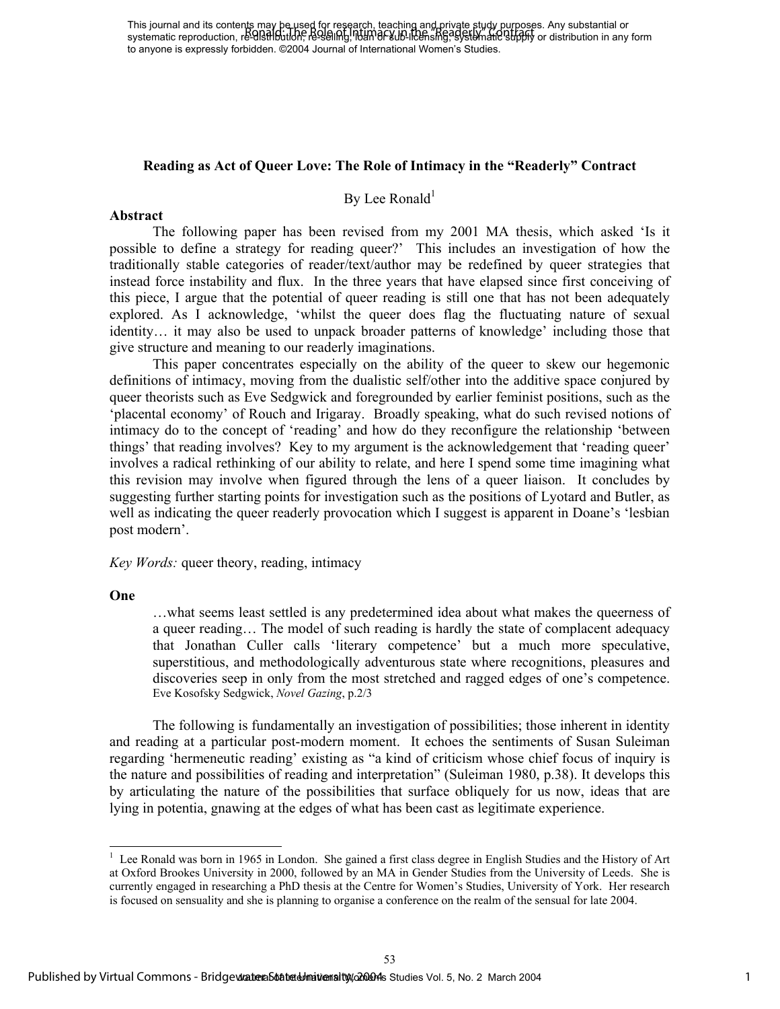This journal and its contents may be used for research, teaching and private study purposes. Any substantial or This journal and its contents may be reset for resetting, and any private buyy buyouses. Any substantial or sub-<br>systematic reproduction, re-alst ibution, resealing, in the Role licensing, systematic supply or distribution to anyone is expressly forbidden. ©2004 Journal of International Women's Studies.

## **Reading as Act of Queer Love: The Role of Intimacy in the "Readerly" Contract**

## By Lee Ronald<sup>1</sup>

#### **Abstract**

The following paper has been revised from my 2001 MA thesis, which asked 'Is it possible to define a strategy for reading queer?' This includes an investigation of how the traditionally stable categories of reader/text/author may be redefined by queer strategies that instead force instability and flux. In the three years that have elapsed since first conceiving of this piece, I argue that the potential of queer reading is still one that has not been adequately explored. As I acknowledge, 'whilst the queer does flag the fluctuating nature of sexual identity… it may also be used to unpack broader patterns of knowledge' including those that give structure and meaning to our readerly imaginations.

This paper concentrates especially on the ability of the queer to skew our hegemonic definitions of intimacy, moving from the dualistic self/other into the additive space conjured by queer theorists such as Eve Sedgwick and foregrounded by earlier feminist positions, such as the 'placental economy' of Rouch and Irigaray. Broadly speaking, what do such revised notions of intimacy do to the concept of 'reading' and how do they reconfigure the relationship 'between things' that reading involves? Key to my argument is the acknowledgement that 'reading queer' involves a radical rethinking of our ability to relate, and here I spend some time imagining what this revision may involve when figured through the lens of a queer liaison. It concludes by suggesting further starting points for investigation such as the positions of Lyotard and Butler, as well as indicating the queer readerly provocation which I suggest is apparent in Doane's 'lesbian post modern'.

*Key Words:* queer theory, reading, intimacy

#### **One**

l

…what seems least settled is any predetermined idea about what makes the queerness of a queer reading… The model of such reading is hardly the state of complacent adequacy that Jonathan Culler calls 'literary competence' but a much more speculative, superstitious, and methodologically adventurous state where recognitions, pleasures and discoveries seep in only from the most stretched and ragged edges of one's competence. Eve Kosofsky Sedgwick, *Novel Gazing*, p.2/3

The following is fundamentally an investigation of possibilities; those inherent in identity and reading at a particular post-modern moment. It echoes the sentiments of Susan Suleiman regarding 'hermeneutic reading' existing as "a kind of criticism whose chief focus of inquiry is the nature and possibilities of reading and interpretation" (Suleiman 1980, p.38). It develops this by articulating the nature of the possibilities that surface obliquely for us now, ideas that are lying in potentia, gnawing at the edges of what has been cast as legitimate experience.

<sup>&</sup>lt;sup>1</sup> Lee Ronald was born in 1965 in London. She gained a first class degree in English Studies and the History of Art at Oxford Brookes University in 2000, followed by an MA in Gender Studies from the University of Leeds. She is currently engaged in researching a PhD thesis at the Centre for Women's Studies, University of York. Her research is focused on sensuality and she is planning to organise a conference on the realm of the sensual for late 2004.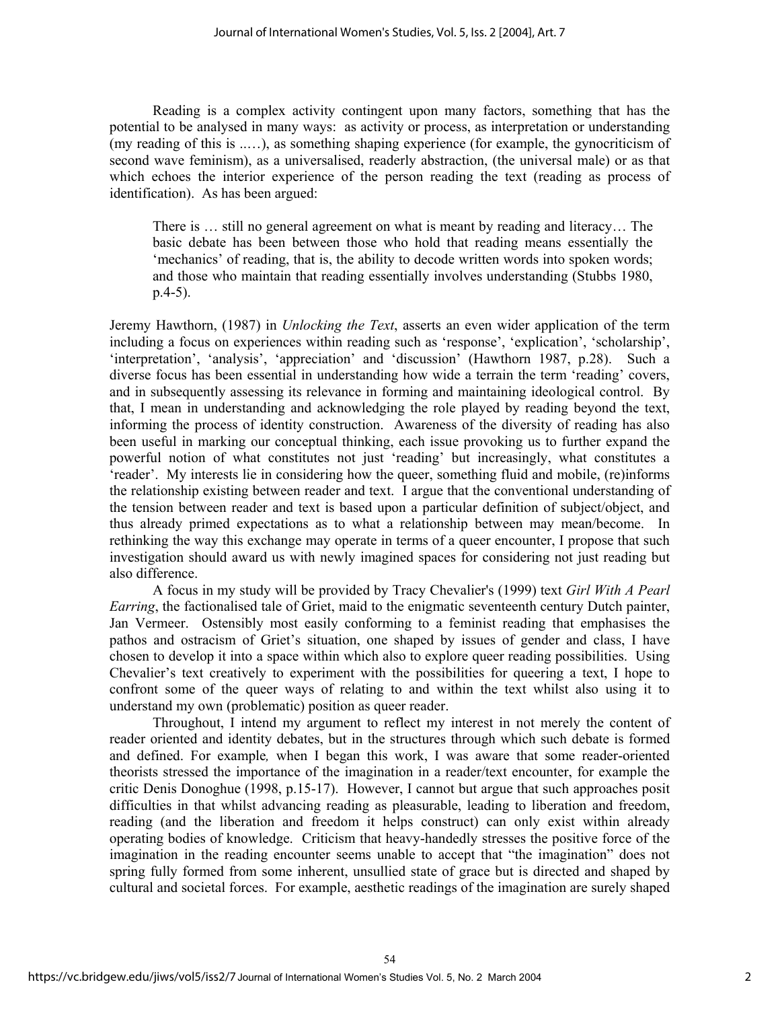Reading is a complex activity contingent upon many factors, something that has the potential to be analysed in many ways: as activity or process, as interpretation or understanding (my reading of this is ..…), as something shaping experience (for example, the gynocriticism of second wave feminism), as a universalised, readerly abstraction, (the universal male) or as that which echoes the interior experience of the person reading the text (reading as process of identification). As has been argued:

There is … still no general agreement on what is meant by reading and literacy… The basic debate has been between those who hold that reading means essentially the 'mechanics' of reading, that is, the ability to decode written words into spoken words; and those who maintain that reading essentially involves understanding (Stubbs 1980, p.4-5).

Jeremy Hawthorn, (1987) in *Unlocking the Text*, asserts an even wider application of the term including a focus on experiences within reading such as 'response', 'explication', 'scholarship', 'interpretation', 'analysis', 'appreciation' and 'discussion' (Hawthorn 1987, p.28). Such a diverse focus has been essential in understanding how wide a terrain the term 'reading' covers, and in subsequently assessing its relevance in forming and maintaining ideological control. By that, I mean in understanding and acknowledging the role played by reading beyond the text, informing the process of identity construction. Awareness of the diversity of reading has also been useful in marking our conceptual thinking, each issue provoking us to further expand the powerful notion of what constitutes not just 'reading' but increasingly, what constitutes a 'reader'. My interests lie in considering how the queer, something fluid and mobile, (re)informs the relationship existing between reader and text. I argue that the conventional understanding of the tension between reader and text is based upon a particular definition of subject/object, and thus already primed expectations as to what a relationship between may mean/become. In rethinking the way this exchange may operate in terms of a queer encounter, I propose that such investigation should award us with newly imagined spaces for considering not just reading but also difference.

A focus in my study will be provided by Tracy Chevalier's (1999) text *Girl With A Pearl Earring*, the factionalised tale of Griet, maid to the enigmatic seventeenth century Dutch painter, Jan Vermeer. Ostensibly most easily conforming to a feminist reading that emphasises the pathos and ostracism of Griet's situation, one shaped by issues of gender and class, I have chosen to develop it into a space within which also to explore queer reading possibilities. Using Chevalier's text creatively to experiment with the possibilities for queering a text, I hope to confront some of the queer ways of relating to and within the text whilst also using it to understand my own (problematic) position as queer reader.

Throughout, I intend my argument to reflect my interest in not merely the content of reader oriented and identity debates, but in the structures through which such debate is formed and defined. For example*,* when I began this work, I was aware that some reader-oriented theorists stressed the importance of the imagination in a reader/text encounter, for example the critic Denis Donoghue (1998, p.15-17). However, I cannot but argue that such approaches posit difficulties in that whilst advancing reading as pleasurable, leading to liberation and freedom, reading (and the liberation and freedom it helps construct) can only exist within already operating bodies of knowledge. Criticism that heavy-handedly stresses the positive force of the imagination in the reading encounter seems unable to accept that "the imagination" does not spring fully formed from some inherent, unsullied state of grace but is directed and shaped by cultural and societal forces. For example, aesthetic readings of the imagination are surely shaped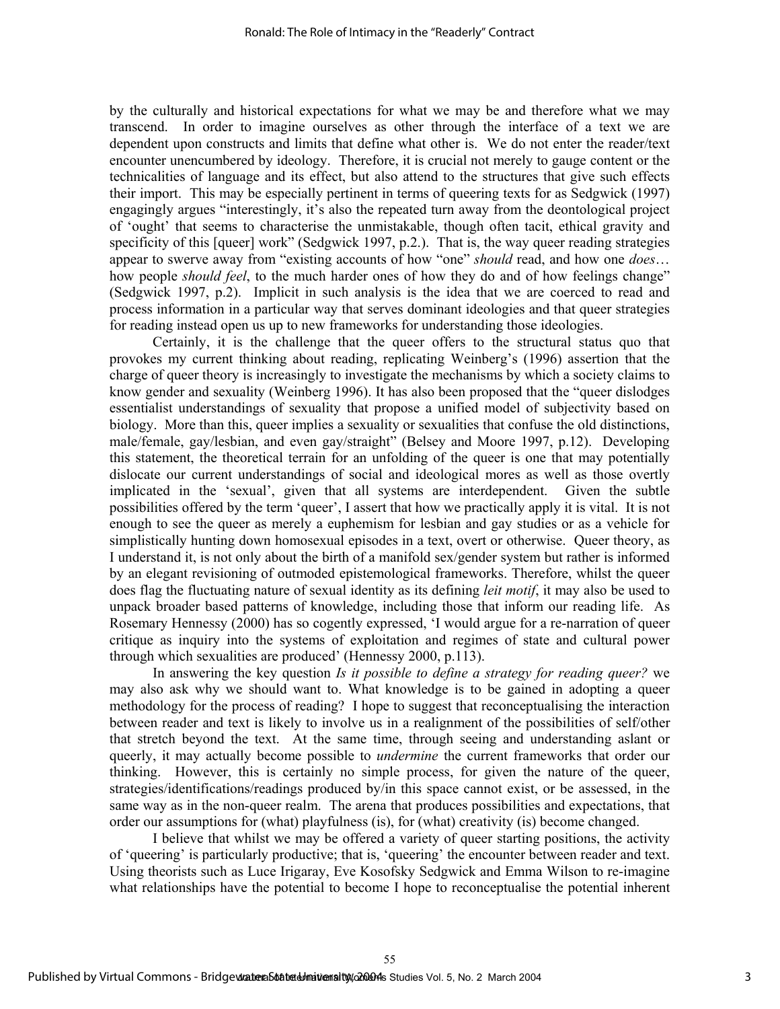by the culturally and historical expectations for what we may be and therefore what we may transcend. In order to imagine ourselves as other through the interface of a text we are dependent upon constructs and limits that define what other is. We do not enter the reader/text encounter unencumbered by ideology. Therefore, it is crucial not merely to gauge content or the technicalities of language and its effect, but also attend to the structures that give such effects their import. This may be especially pertinent in terms of queering texts for as Sedgwick (1997) engagingly argues "interestingly, it's also the repeated turn away from the deontological project of 'ought' that seems to characterise the unmistakable, though often tacit, ethical gravity and specificity of this [queer] work" (Sedgwick 1997, p.2.). That is, the way queer reading strategies appear to swerve away from "existing accounts of how "one" *should* read, and how one *does*… how people *should feel*, to the much harder ones of how they do and of how feelings change" (Sedgwick 1997, p.2). Implicit in such analysis is the idea that we are coerced to read and process information in a particular way that serves dominant ideologies and that queer strategies for reading instead open us up to new frameworks for understanding those ideologies.

Certainly, it is the challenge that the queer offers to the structural status quo that provokes my current thinking about reading, replicating Weinberg's (1996) assertion that the charge of queer theory is increasingly to investigate the mechanisms by which a society claims to know gender and sexuality (Weinberg 1996). It has also been proposed that the "queer dislodges essentialist understandings of sexuality that propose a unified model of subjectivity based on biology. More than this, queer implies a sexuality or sexualities that confuse the old distinctions, male/female, gay/lesbian, and even gay/straight" (Belsey and Moore 1997, p.12). Developing this statement, the theoretical terrain for an unfolding of the queer is one that may potentially dislocate our current understandings of social and ideological mores as well as those overtly implicated in the 'sexual', given that all systems are interdependent. Given the subtle possibilities offered by the term 'queer', I assert that how we practically apply it is vital. It is not enough to see the queer as merely a euphemism for lesbian and gay studies or as a vehicle for simplistically hunting down homosexual episodes in a text, overt or otherwise. Queer theory, as I understand it, is not only about the birth of a manifold sex/gender system but rather is informed by an elegant revisioning of outmoded epistemological frameworks. Therefore, whilst the queer does flag the fluctuating nature of sexual identity as its defining *leit motif*, it may also be used to unpack broader based patterns of knowledge, including those that inform our reading life. As Rosemary Hennessy (2000) has so cogently expressed, 'I would argue for a re-narration of queer critique as inquiry into the systems of exploitation and regimes of state and cultural power through which sexualities are produced' (Hennessy 2000, p.113).

In answering the key question *Is it possible to define a strategy for reading queer?* we may also ask why we should want to. What knowledge is to be gained in adopting a queer methodology for the process of reading? I hope to suggest that reconceptualising the interaction between reader and text is likely to involve us in a realignment of the possibilities of self/other that stretch beyond the text. At the same time, through seeing and understanding aslant or queerly, it may actually become possible to *undermine* the current frameworks that order our thinking. However, this is certainly no simple process, for given the nature of the queer, strategies/identifications/readings produced by/in this space cannot exist, or be assessed, in the same way as in the non-queer realm. The arena that produces possibilities and expectations, that order our assumptions for (what) playfulness (is), for (what) creativity (is) become changed.

I believe that whilst we may be offered a variety of queer starting positions, the activity of 'queering' is particularly productive; that is, 'queering' the encounter between reader and text. Using theorists such as Luce Irigaray, Eve Kosofsky Sedgwick and Emma Wilson to re-imagine what relationships have the potential to become I hope to reconceptualise the potential inherent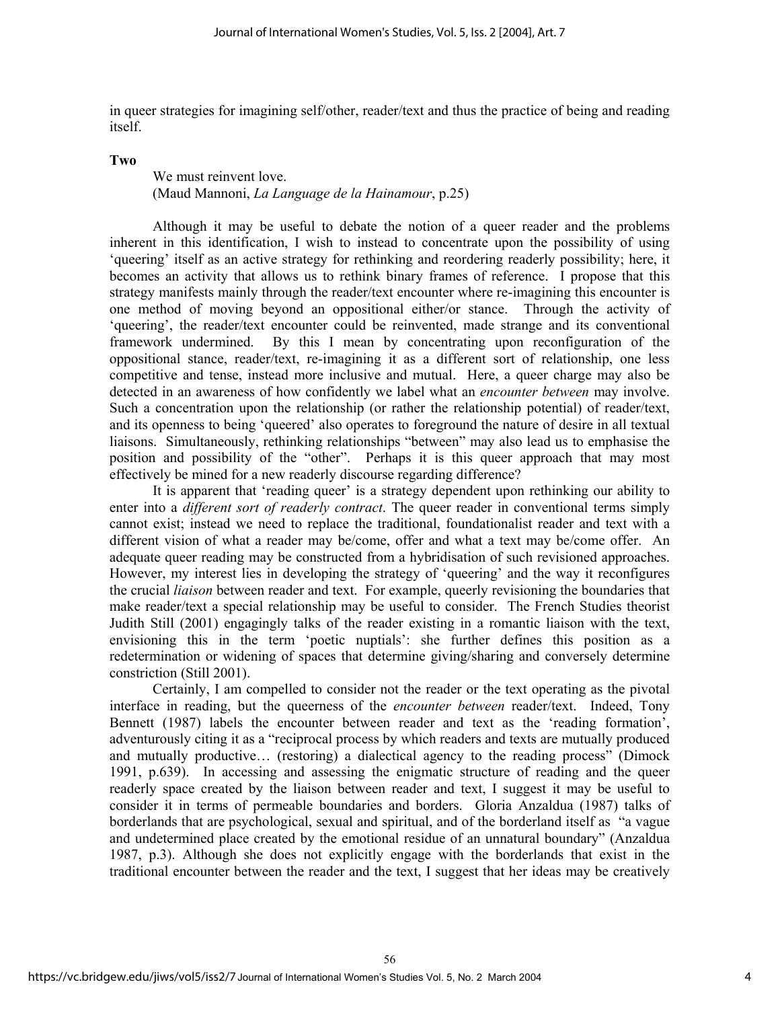in queer strategies for imagining self/other, reader/text and thus the practice of being and reading itself.

#### **Two**

## We must reinvent love. (Maud Mannoni, *La Language de la Hainamour*, p.25)

Although it may be useful to debate the notion of a queer reader and the problems inherent in this identification, I wish to instead to concentrate upon the possibility of using 'queering' itself as an active strategy for rethinking and reordering readerly possibility; here, it becomes an activity that allows us to rethink binary frames of reference. I propose that this strategy manifests mainly through the reader/text encounter where re-imagining this encounter is one method of moving beyond an oppositional either/or stance. Through the activity of 'queering', the reader/text encounter could be reinvented, made strange and its conventional framework undermined. By this I mean by concentrating upon reconfiguration of the oppositional stance, reader/text, re-imagining it as a different sort of relationship, one less competitive and tense, instead more inclusive and mutual. Here, a queer charge may also be detected in an awareness of how confidently we label what an *encounter between* may involve. Such a concentration upon the relationship (or rather the relationship potential) of reader/text, and its openness to being 'queered' also operates to foreground the nature of desire in all textual liaisons. Simultaneously, rethinking relationships "between" may also lead us to emphasise the position and possibility of the "other". Perhaps it is this queer approach that may most effectively be mined for a new readerly discourse regarding difference?

It is apparent that 'reading queer' is a strategy dependent upon rethinking our ability to enter into a *different sort of readerly contract*. The queer reader in conventional terms simply cannot exist; instead we need to replace the traditional, foundationalist reader and text with a different vision of what a reader may be/come, offer and what a text may be/come offer. An adequate queer reading may be constructed from a hybridisation of such revisioned approaches. However, my interest lies in developing the strategy of 'queering' and the way it reconfigures the crucial *liaison* between reader and text. For example, queerly revisioning the boundaries that make reader/text a special relationship may be useful to consider. The French Studies theorist Judith Still (2001) engagingly talks of the reader existing in a romantic liaison with the text, envisioning this in the term 'poetic nuptials': she further defines this position as a redetermination or widening of spaces that determine giving/sharing and conversely determine constriction (Still 2001).

Certainly, I am compelled to consider not the reader or the text operating as the pivotal interface in reading, but the queerness of the *encounter between* reader/text. Indeed, Tony Bennett (1987) labels the encounter between reader and text as the 'reading formation', adventurously citing it as a "reciprocal process by which readers and texts are mutually produced and mutually productive… (restoring) a dialectical agency to the reading process" (Dimock 1991, p.639). In accessing and assessing the enigmatic structure of reading and the queer readerly space created by the liaison between reader and text, I suggest it may be useful to consider it in terms of permeable boundaries and borders. Gloria Anzaldua (1987) talks of borderlands that are psychological, sexual and spiritual, and of the borderland itself as "a vague and undetermined place created by the emotional residue of an unnatural boundary" (Anzaldua 1987, p.3). Although she does not explicitly engage with the borderlands that exist in the traditional encounter between the reader and the text, I suggest that her ideas may be creatively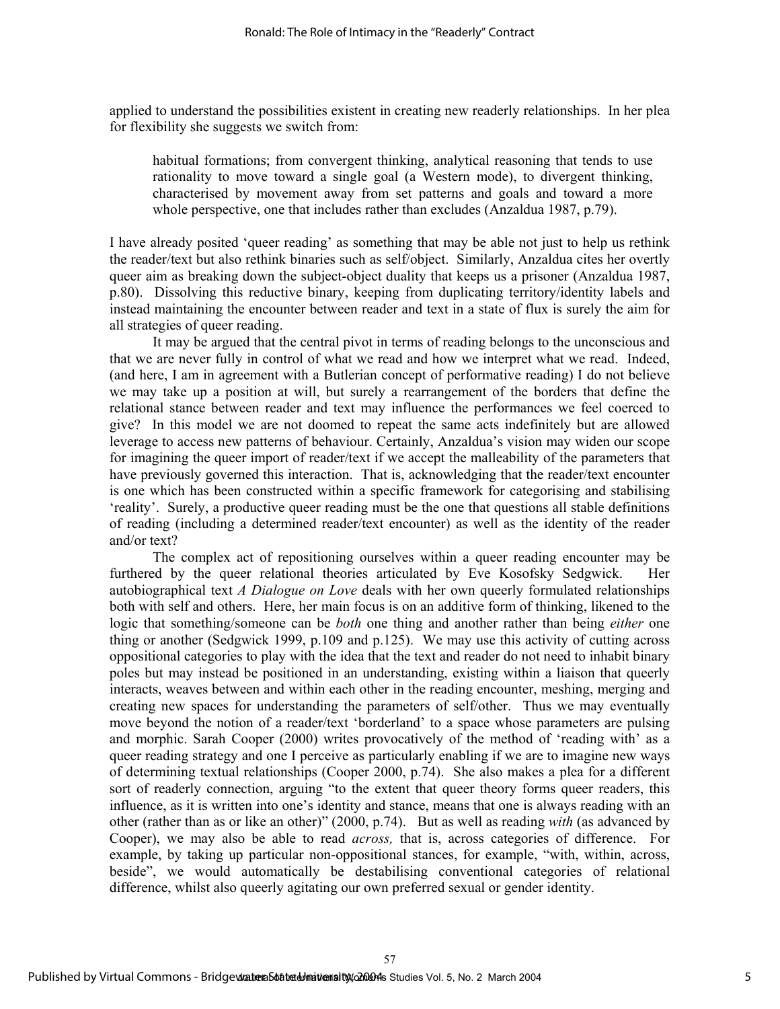applied to understand the possibilities existent in creating new readerly relationships. In her plea for flexibility she suggests we switch from:

habitual formations; from convergent thinking, analytical reasoning that tends to use rationality to move toward a single goal (a Western mode), to divergent thinking, characterised by movement away from set patterns and goals and toward a more whole perspective, one that includes rather than excludes (Anzaldua 1987, p.79).

I have already posited 'queer reading' as something that may be able not just to help us rethink the reader/text but also rethink binaries such as self/object. Similarly, Anzaldua cites her overtly queer aim as breaking down the subject-object duality that keeps us a prisoner (Anzaldua 1987, p.80). Dissolving this reductive binary, keeping from duplicating territory/identity labels and instead maintaining the encounter between reader and text in a state of flux is surely the aim for all strategies of queer reading.

It may be argued that the central pivot in terms of reading belongs to the unconscious and that we are never fully in control of what we read and how we interpret what we read. Indeed, (and here, I am in agreement with a Butlerian concept of performative reading) I do not believe we may take up a position at will, but surely a rearrangement of the borders that define the relational stance between reader and text may influence the performances we feel coerced to give? In this model we are not doomed to repeat the same acts indefinitely but are allowed leverage to access new patterns of behaviour. Certainly, Anzaldua's vision may widen our scope for imagining the queer import of reader/text if we accept the malleability of the parameters that have previously governed this interaction. That is, acknowledging that the reader/text encounter is one which has been constructed within a specific framework for categorising and stabilising 'reality'. Surely, a productive queer reading must be the one that questions all stable definitions of reading (including a determined reader/text encounter) as well as the identity of the reader and/or text?

The complex act of repositioning ourselves within a queer reading encounter may be furthered by the queer relational theories articulated by Eve Kosofsky Sedgwick. Her autobiographical text *A Dialogue on Love* deals with her own queerly formulated relationships both with self and others. Here, her main focus is on an additive form of thinking, likened to the logic that something/someone can be *both* one thing and another rather than being *either* one thing or another (Sedgwick 1999, p.109 and p.125). We may use this activity of cutting across oppositional categories to play with the idea that the text and reader do not need to inhabit binary poles but may instead be positioned in an understanding, existing within a liaison that queerly interacts, weaves between and within each other in the reading encounter, meshing, merging and creating new spaces for understanding the parameters of self/other. Thus we may eventually move beyond the notion of a reader/text 'borderland' to a space whose parameters are pulsing and morphic. Sarah Cooper (2000) writes provocatively of the method of 'reading with' as a queer reading strategy and one I perceive as particularly enabling if we are to imagine new ways of determining textual relationships (Cooper 2000, p.74). She also makes a plea for a different sort of readerly connection, arguing "to the extent that queer theory forms queer readers, this influence, as it is written into one's identity and stance, means that one is always reading with an other (rather than as or like an other)" (2000, p.74). But as well as reading *with* (as advanced by Cooper), we may also be able to read *across,* that is, across categories of difference. For example, by taking up particular non-oppositional stances, for example, "with, within, across, beside", we would automatically be destabilising conventional categories of relational difference, whilst also queerly agitating our own preferred sexual or gender identity.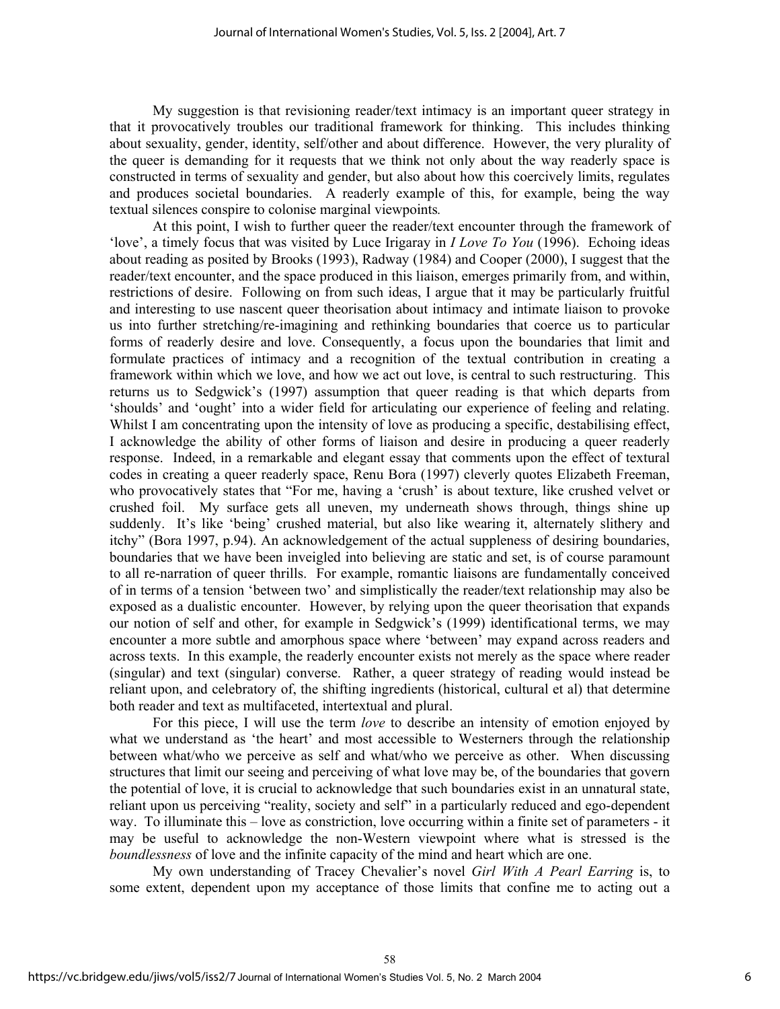My suggestion is that revisioning reader/text intimacy is an important queer strategy in that it provocatively troubles our traditional framework for thinking. This includes thinking about sexuality, gender, identity, self/other and about difference. However, the very plurality of the queer is demanding for it requests that we think not only about the way readerly space is constructed in terms of sexuality and gender, but also about how this coercively limits, regulates and produces societal boundaries. A readerly example of this, for example, being the way textual silences conspire to colonise marginal viewpoints*.*

At this point, I wish to further queer the reader/text encounter through the framework of 'love', a timely focus that was visited by Luce Irigaray in *I Love To You* (1996). Echoing ideas about reading as posited by Brooks (1993), Radway (1984) and Cooper (2000), I suggest that the reader/text encounter, and the space produced in this liaison, emerges primarily from, and within, restrictions of desire. Following on from such ideas, I argue that it may be particularly fruitful and interesting to use nascent queer theorisation about intimacy and intimate liaison to provoke us into further stretching/re-imagining and rethinking boundaries that coerce us to particular forms of readerly desire and love. Consequently, a focus upon the boundaries that limit and formulate practices of intimacy and a recognition of the textual contribution in creating a framework within which we love, and how we act out love, is central to such restructuring. This returns us to Sedgwick's (1997) assumption that queer reading is that which departs from 'shoulds' and 'ought' into a wider field for articulating our experience of feeling and relating. Whilst I am concentrating upon the intensity of love as producing a specific, destabilising effect, I acknowledge the ability of other forms of liaison and desire in producing a queer readerly response. Indeed, in a remarkable and elegant essay that comments upon the effect of textural codes in creating a queer readerly space, Renu Bora (1997) cleverly quotes Elizabeth Freeman, who provocatively states that "For me, having a 'crush' is about texture, like crushed velvet or crushed foil. My surface gets all uneven, my underneath shows through, things shine up suddenly. It's like 'being' crushed material, but also like wearing it, alternately slithery and itchy" (Bora 1997, p.94). An acknowledgement of the actual suppleness of desiring boundaries, boundaries that we have been inveigled into believing are static and set, is of course paramount to all re-narration of queer thrills. For example, romantic liaisons are fundamentally conceived of in terms of a tension 'between two' and simplistically the reader/text relationship may also be exposed as a dualistic encounter. However, by relying upon the queer theorisation that expands our notion of self and other, for example in Sedgwick's (1999) identificational terms, we may encounter a more subtle and amorphous space where 'between' may expand across readers and across texts. In this example, the readerly encounter exists not merely as the space where reader (singular) and text (singular) converse. Rather, a queer strategy of reading would instead be reliant upon, and celebratory of, the shifting ingredients (historical, cultural et al) that determine both reader and text as multifaceted, intertextual and plural.

For this piece, I will use the term *love* to describe an intensity of emotion enjoyed by what we understand as 'the heart' and most accessible to Westerners through the relationship between what/who we perceive as self and what/who we perceive as other. When discussing structures that limit our seeing and perceiving of what love may be, of the boundaries that govern the potential of love, it is crucial to acknowledge that such boundaries exist in an unnatural state, reliant upon us perceiving "reality, society and self" in a particularly reduced and ego-dependent way. To illuminate this – love as constriction, love occurring within a finite set of parameters - it may be useful to acknowledge the non-Western viewpoint where what is stressed is the *boundlessness* of love and the infinite capacity of the mind and heart which are one.

My own understanding of Tracey Chevalier's novel *Girl With A Pearl Earring* is, to some extent, dependent upon my acceptance of those limits that confine me to acting out a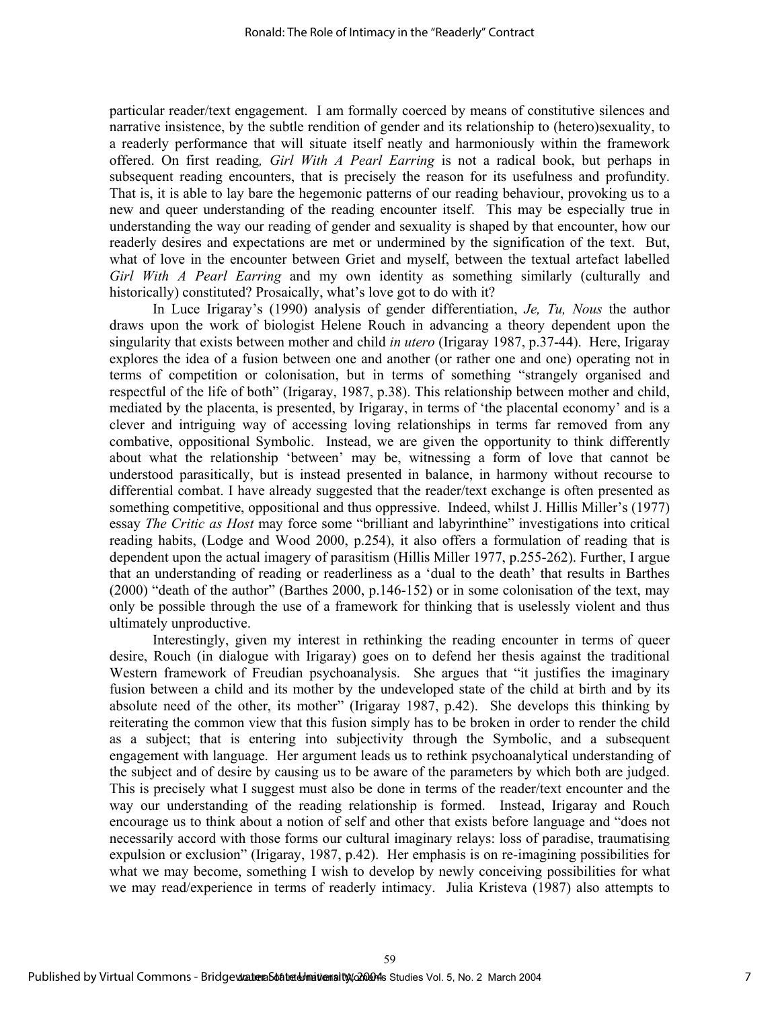particular reader/text engagement. I am formally coerced by means of constitutive silences and narrative insistence, by the subtle rendition of gender and its relationship to (hetero)sexuality, to a readerly performance that will situate itself neatly and harmoniously within the framework offered. On first reading*, Girl With A Pearl Earring* is not a radical book, but perhaps in subsequent reading encounters, that is precisely the reason for its usefulness and profundity. That is, it is able to lay bare the hegemonic patterns of our reading behaviour, provoking us to a new and queer understanding of the reading encounter itself. This may be especially true in understanding the way our reading of gender and sexuality is shaped by that encounter, how our readerly desires and expectations are met or undermined by the signification of the text. But, what of love in the encounter between Griet and myself, between the textual artefact labelled *Girl With A Pearl Earring* and my own identity as something similarly (culturally and historically) constituted? Prosaically, what's love got to do with it?

In Luce Irigaray's (1990) analysis of gender differentiation, *Je, Tu, Nous* the author draws upon the work of biologist Helene Rouch in advancing a theory dependent upon the singularity that exists between mother and child *in utero* (Irigaray 1987, p.37-44). Here, Irigaray explores the idea of a fusion between one and another (or rather one and one) operating not in terms of competition or colonisation, but in terms of something "strangely organised and respectful of the life of both" (Irigaray, 1987, p.38). This relationship between mother and child, mediated by the placenta, is presented, by Irigaray, in terms of 'the placental economy' and is a clever and intriguing way of accessing loving relationships in terms far removed from any combative, oppositional Symbolic. Instead, we are given the opportunity to think differently about what the relationship 'between' may be, witnessing a form of love that cannot be understood parasitically, but is instead presented in balance, in harmony without recourse to differential combat. I have already suggested that the reader/text exchange is often presented as something competitive, oppositional and thus oppressive. Indeed, whilst J. Hillis Miller's (1977) essay *The Critic as Host* may force some "brilliant and labyrinthine" investigations into critical reading habits, (Lodge and Wood 2000, p.254), it also offers a formulation of reading that is dependent upon the actual imagery of parasitism (Hillis Miller 1977, p.255-262). Further, I argue that an understanding of reading or readerliness as a 'dual to the death' that results in Barthes (2000) "death of the author" (Barthes 2000, p.146-152) or in some colonisation of the text, may only be possible through the use of a framework for thinking that is uselessly violent and thus ultimately unproductive.

Interestingly, given my interest in rethinking the reading encounter in terms of queer desire, Rouch (in dialogue with Irigaray) goes on to defend her thesis against the traditional Western framework of Freudian psychoanalysis. She argues that "it justifies the imaginary fusion between a child and its mother by the undeveloped state of the child at birth and by its absolute need of the other, its mother" (Irigaray 1987, p.42). She develops this thinking by reiterating the common view that this fusion simply has to be broken in order to render the child as a subject; that is entering into subjectivity through the Symbolic, and a subsequent engagement with language. Her argument leads us to rethink psychoanalytical understanding of the subject and of desire by causing us to be aware of the parameters by which both are judged. This is precisely what I suggest must also be done in terms of the reader/text encounter and the way our understanding of the reading relationship is formed. Instead, Irigaray and Rouch encourage us to think about a notion of self and other that exists before language and "does not necessarily accord with those forms our cultural imaginary relays: loss of paradise, traumatising expulsion or exclusion" (Irigaray, 1987, p.42). Her emphasis is on re-imagining possibilities for what we may become, something I wish to develop by newly conceiving possibilities for what we may read/experience in terms of readerly intimacy. Julia Kristeva (1987) also attempts to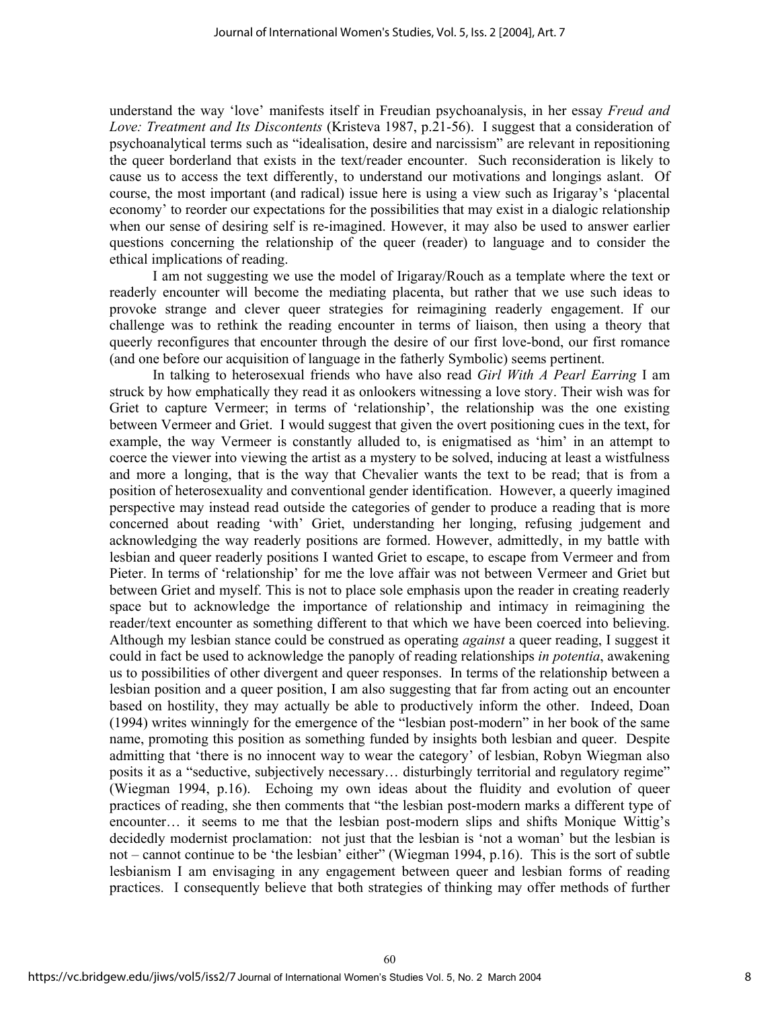understand the way 'love' manifests itself in Freudian psychoanalysis, in her essay *Freud and Love: Treatment and Its Discontents* (Kristeva 1987, p.21-56). I suggest that a consideration of psychoanalytical terms such as "idealisation, desire and narcissism" are relevant in repositioning the queer borderland that exists in the text/reader encounter. Such reconsideration is likely to cause us to access the text differently, to understand our motivations and longings aslant. Of course, the most important (and radical) issue here is using a view such as Irigaray's 'placental economy' to reorder our expectations for the possibilities that may exist in a dialogic relationship when our sense of desiring self is re-imagined. However, it may also be used to answer earlier questions concerning the relationship of the queer (reader) to language and to consider the ethical implications of reading.

I am not suggesting we use the model of Irigaray/Rouch as a template where the text or readerly encounter will become the mediating placenta, but rather that we use such ideas to provoke strange and clever queer strategies for reimagining readerly engagement. If our challenge was to rethink the reading encounter in terms of liaison, then using a theory that queerly reconfigures that encounter through the desire of our first love-bond, our first romance (and one before our acquisition of language in the fatherly Symbolic) seems pertinent.

In talking to heterosexual friends who have also read *Girl With A Pearl Earring* I am struck by how emphatically they read it as onlookers witnessing a love story. Their wish was for Griet to capture Vermeer; in terms of 'relationship', the relationship was the one existing between Vermeer and Griet. I would suggest that given the overt positioning cues in the text, for example, the way Vermeer is constantly alluded to, is enigmatised as 'him' in an attempt to coerce the viewer into viewing the artist as a mystery to be solved, inducing at least a wistfulness and more a longing, that is the way that Chevalier wants the text to be read; that is from a position of heterosexuality and conventional gender identification. However, a queerly imagined perspective may instead read outside the categories of gender to produce a reading that is more concerned about reading 'with' Griet, understanding her longing, refusing judgement and acknowledging the way readerly positions are formed. However, admittedly, in my battle with lesbian and queer readerly positions I wanted Griet to escape, to escape from Vermeer and from Pieter. In terms of 'relationship' for me the love affair was not between Vermeer and Griet but between Griet and myself. This is not to place sole emphasis upon the reader in creating readerly space but to acknowledge the importance of relationship and intimacy in reimagining the reader/text encounter as something different to that which we have been coerced into believing. Although my lesbian stance could be construed as operating *against* a queer reading, I suggest it could in fact be used to acknowledge the panoply of reading relationships *in potentia*, awakening us to possibilities of other divergent and queer responses. In terms of the relationship between a lesbian position and a queer position, I am also suggesting that far from acting out an encounter based on hostility, they may actually be able to productively inform the other. Indeed, Doan (1994) writes winningly for the emergence of the "lesbian post-modern" in her book of the same name, promoting this position as something funded by insights both lesbian and queer. Despite admitting that 'there is no innocent way to wear the category' of lesbian, Robyn Wiegman also posits it as a "seductive, subjectively necessary… disturbingly territorial and regulatory regime" (Wiegman 1994, p.16). Echoing my own ideas about the fluidity and evolution of queer practices of reading, she then comments that "the lesbian post-modern marks a different type of encounter… it seems to me that the lesbian post-modern slips and shifts Monique Wittig's decidedly modernist proclamation: not just that the lesbian is 'not a woman' but the lesbian is not – cannot continue to be 'the lesbian' either" (Wiegman 1994, p.16). This is the sort of subtle lesbianism I am envisaging in any engagement between queer and lesbian forms of reading practices. I consequently believe that both strategies of thinking may offer methods of further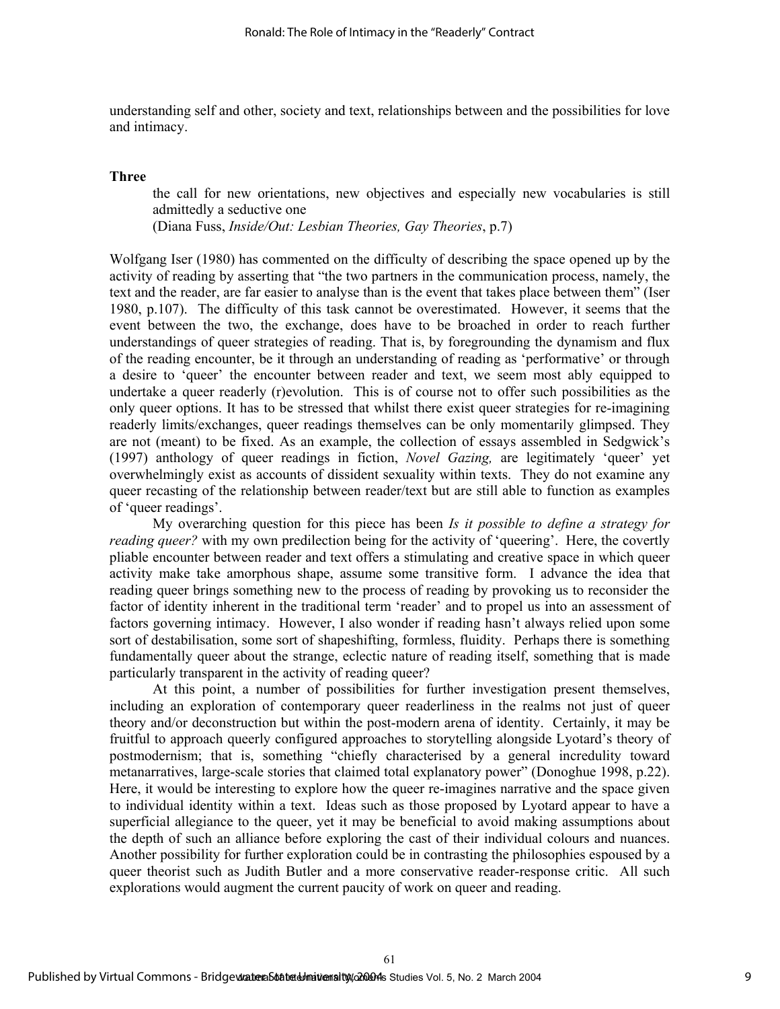understanding self and other, society and text, relationships between and the possibilities for love and intimacy.

#### **Three**

the call for new orientations, new objectives and especially new vocabularies is still admittedly a seductive one

(Diana Fuss, *Inside/Out: Lesbian Theories, Gay Theories*, p.7)

Wolfgang Iser (1980) has commented on the difficulty of describing the space opened up by the activity of reading by asserting that "the two partners in the communication process, namely, the text and the reader, are far easier to analyse than is the event that takes place between them" (Iser 1980, p.107). The difficulty of this task cannot be overestimated. However, it seems that the event between the two, the exchange, does have to be broached in order to reach further understandings of queer strategies of reading. That is, by foregrounding the dynamism and flux of the reading encounter, be it through an understanding of reading as 'performative' or through a desire to 'queer' the encounter between reader and text, we seem most ably equipped to undertake a queer readerly (r)evolution. This is of course not to offer such possibilities as the only queer options. It has to be stressed that whilst there exist queer strategies for re-imagining readerly limits/exchanges, queer readings themselves can be only momentarily glimpsed. They are not (meant) to be fixed. As an example, the collection of essays assembled in Sedgwick's (1997) anthology of queer readings in fiction, *Novel Gazing,* are legitimately 'queer' yet overwhelmingly exist as accounts of dissident sexuality within texts. They do not examine any queer recasting of the relationship between reader/text but are still able to function as examples of 'queer readings'.

My overarching question for this piece has been *Is it possible to define a strategy for reading queer?* with my own predilection being for the activity of 'queering'. Here, the covertly pliable encounter between reader and text offers a stimulating and creative space in which queer activity make take amorphous shape, assume some transitive form. I advance the idea that reading queer brings something new to the process of reading by provoking us to reconsider the factor of identity inherent in the traditional term 'reader' and to propel us into an assessment of factors governing intimacy. However, I also wonder if reading hasn't always relied upon some sort of destabilisation, some sort of shapeshifting, formless, fluidity. Perhaps there is something fundamentally queer about the strange, eclectic nature of reading itself, something that is made particularly transparent in the activity of reading queer?

At this point, a number of possibilities for further investigation present themselves, including an exploration of contemporary queer readerliness in the realms not just of queer theory and/or deconstruction but within the post-modern arena of identity. Certainly, it may be fruitful to approach queerly configured approaches to storytelling alongside Lyotard's theory of postmodernism; that is, something "chiefly characterised by a general incredulity toward metanarratives, large-scale stories that claimed total explanatory power" (Donoghue 1998, p.22). Here, it would be interesting to explore how the queer re-imagines narrative and the space given to individual identity within a text. Ideas such as those proposed by Lyotard appear to have a superficial allegiance to the queer, yet it may be beneficial to avoid making assumptions about the depth of such an alliance before exploring the cast of their individual colours and nuances. Another possibility for further exploration could be in contrasting the philosophies espoused by a queer theorist such as Judith Butler and a more conservative reader-response critic. All such explorations would augment the current paucity of work on queer and reading.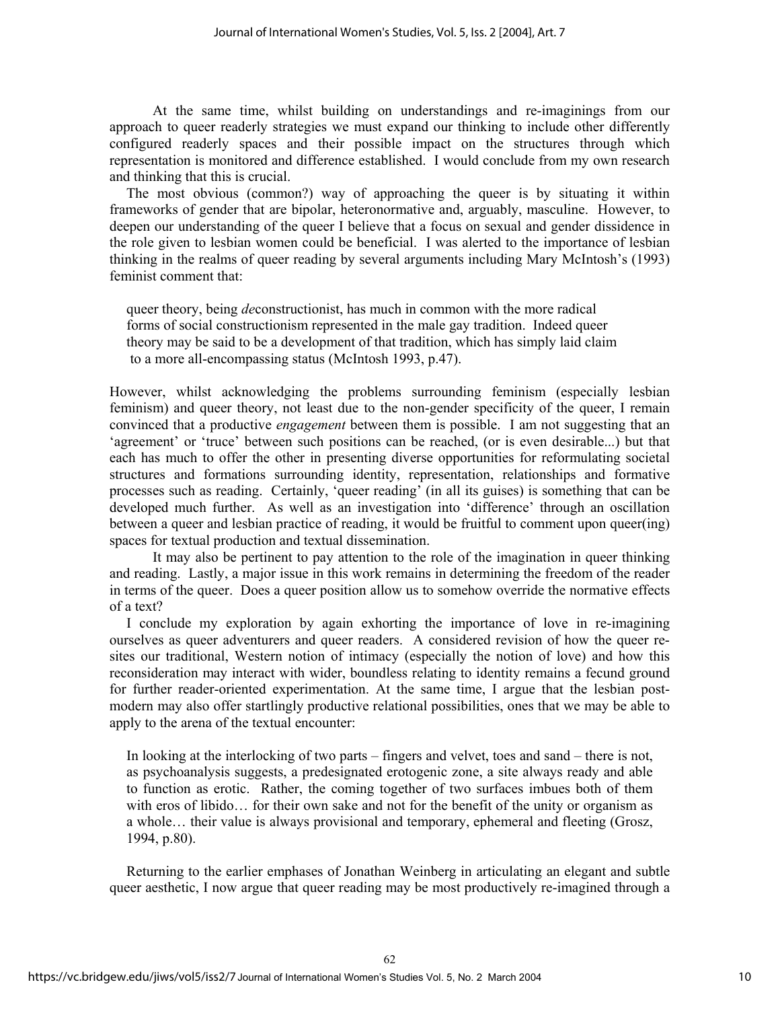At the same time, whilst building on understandings and re-imaginings from our approach to queer readerly strategies we must expand our thinking to include other differently configured readerly spaces and their possible impact on the structures through which representation is monitored and difference established. I would conclude from my own research and thinking that this is crucial.

The most obvious (common?) way of approaching the queer is by situating it within frameworks of gender that are bipolar, heteronormative and, arguably, masculine. However, to deepen our understanding of the queer I believe that a focus on sexual and gender dissidence in the role given to lesbian women could be beneficial. I was alerted to the importance of lesbian thinking in the realms of queer reading by several arguments including Mary McIntosh's (1993) feminist comment that:

queer theory, being *de*constructionist, has much in common with the more radical forms of social constructionism represented in the male gay tradition. Indeed queer theory may be said to be a development of that tradition, which has simply laid claim to a more all-encompassing status (McIntosh 1993, p.47).

However, whilst acknowledging the problems surrounding feminism (especially lesbian feminism) and queer theory, not least due to the non-gender specificity of the queer, I remain convinced that a productive *engagement* between them is possible. I am not suggesting that an 'agreement' or 'truce' between such positions can be reached, (or is even desirable...) but that each has much to offer the other in presenting diverse opportunities for reformulating societal structures and formations surrounding identity, representation, relationships and formative processes such as reading. Certainly, 'queer reading' (in all its guises) is something that can be developed much further. As well as an investigation into 'difference' through an oscillation between a queer and lesbian practice of reading, it would be fruitful to comment upon queer(ing) spaces for textual production and textual dissemination.

It may also be pertinent to pay attention to the role of the imagination in queer thinking and reading. Lastly, a major issue in this work remains in determining the freedom of the reader in terms of the queer. Does a queer position allow us to somehow override the normative effects of a text?

I conclude my exploration by again exhorting the importance of love in re-imagining ourselves as queer adventurers and queer readers. A considered revision of how the queer resites our traditional, Western notion of intimacy (especially the notion of love) and how this reconsideration may interact with wider, boundless relating to identity remains a fecund ground for further reader-oriented experimentation. At the same time, I argue that the lesbian postmodern may also offer startlingly productive relational possibilities, ones that we may be able to apply to the arena of the textual encounter:

In looking at the interlocking of two parts – fingers and velvet, toes and sand – there is not, as psychoanalysis suggests, a predesignated erotogenic zone, a site always ready and able to function as erotic. Rather, the coming together of two surfaces imbues both of them with eros of libido... for their own sake and not for the benefit of the unity or organism as a whole… their value is always provisional and temporary, ephemeral and fleeting (Grosz, 1994, p.80).

Returning to the earlier emphases of Jonathan Weinberg in articulating an elegant and subtle queer aesthetic, I now argue that queer reading may be most productively re-imagined through a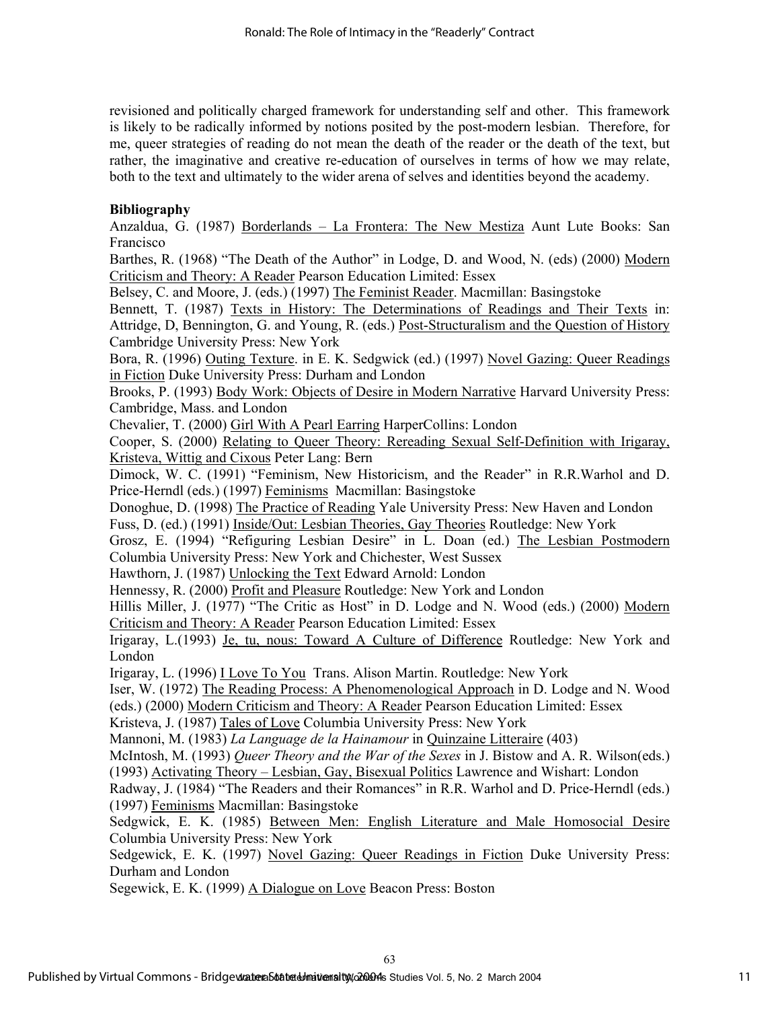revisioned and politically charged framework for understanding self and other. This framework is likely to be radically informed by notions posited by the post-modern lesbian. Therefore, for me, queer strategies of reading do not mean the death of the reader or the death of the text, but rather, the imaginative and creative re-education of ourselves in terms of how we may relate, both to the text and ultimately to the wider arena of selves and identities beyond the academy.

## **Bibliography**

Anzaldua, G. (1987) Borderlands – La Frontera: The New Mestiza Aunt Lute Books: San Francisco

Barthes, R. (1968) "The Death of the Author" in Lodge, D. and Wood, N. (eds) (2000) Modern Criticism and Theory: A Reader Pearson Education Limited: Essex

Belsey, C. and Moore, J. (eds.) (1997) The Feminist Reader. Macmillan: Basingstoke

Bennett, T. (1987) Texts in History: The Determinations of Readings and Their Texts in: Attridge, D, Bennington, G. and Young, R. (eds.) Post-Structuralism and the Question of History Cambridge University Press: New York

Bora, R. (1996) Outing Texture. in E. K. Sedgwick (ed.) (1997) Novel Gazing: Queer Readings in Fiction Duke University Press: Durham and London

Brooks, P. (1993) Body Work: Objects of Desire in Modern Narrative Harvard University Press: Cambridge, Mass. and London

Chevalier, T. (2000) Girl With A Pearl Earring HarperCollins: London

Cooper, S. (2000) Relating to Queer Theory: Rereading Sexual Self-Definition with Irigaray, Kristeva, Wittig and Cixous Peter Lang: Bern

Dimock, W. C. (1991) "Feminism, New Historicism, and the Reader" in R.R.Warhol and D. Price-Herndl (eds.) (1997) Feminisms Macmillan: Basingstoke

Donoghue, D. (1998) The Practice of Reading Yale University Press: New Haven and London Fuss, D. (ed.) (1991) Inside/Out: Lesbian Theories, Gay Theories Routledge: New York

Grosz, E. (1994) "Refiguring Lesbian Desire" in L. Doan (ed.) The Lesbian Postmodern Columbia University Press: New York and Chichester, West Sussex

Hawthorn, J. (1987) Unlocking the Text Edward Arnold: London

Hennessy, R. (2000) Profit and Pleasure Routledge: New York and London

Hillis Miller, J. (1977) "The Critic as Host" in D. Lodge and N. Wood (eds.) (2000) Modern Criticism and Theory: A Reader Pearson Education Limited: Essex

Irigaray, L.(1993) Je, tu, nous: Toward A Culture of Difference Routledge: New York and London

Irigaray, L. (1996) I Love To You Trans. Alison Martin. Routledge: New York

Iser, W. (1972) The Reading Process: A Phenomenological Approach in D. Lodge and N. Wood

(eds.) (2000) Modern Criticism and Theory: A Reader Pearson Education Limited: Essex

Kristeva, J. (1987) Tales of Love Columbia University Press: New York

Mannoni, M. (1983) *La Language de la Hainamour* in Quinzaine Litteraire (403)

McIntosh, M. (1993) *Queer Theory and the War of the Sexes* in J. Bistow and A. R. Wilson(eds.) (1993) Activating Theory – Lesbian, Gay, Bisexual Politics Lawrence and Wishart: London

Radway, J. (1984) "The Readers and their Romances" in R.R. Warhol and D. Price-Herndl (eds.) (1997) Feminisms Macmillan: Basingstoke

Sedgwick, E. K. (1985) Between Men: English Literature and Male Homosocial Desire Columbia University Press: New York

Sedgewick, E. K. (1997) Novel Gazing: Queer Readings in Fiction Duke University Press: Durham and London

Segewick, E. K. (1999) A Dialogue on Love Beacon Press: Boston